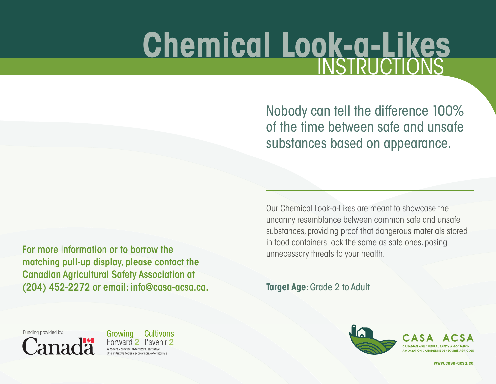## **Chemical Look-a-Likes**

Nobody can tell the difference 100% of the time between safe and unsafe substances based on appearance.

Our Chemical Look-a-Likes are meant to showcase the uncanny resemblance between common safe and unsafe substances, providing proof that dangerous materials stored in food containers look the same as safe ones, posing unnecessary threats to your health.

**Target Age: Grade 2 to Adult** 



For more information or to borrow the matching pull-up display, please contact the Canadian Agricultural Safety Association at (204) 452-2272 or email: info@casa-acsa.ca.

Funding provided by:

**Canad** 



**www.casa-acsa.ca**